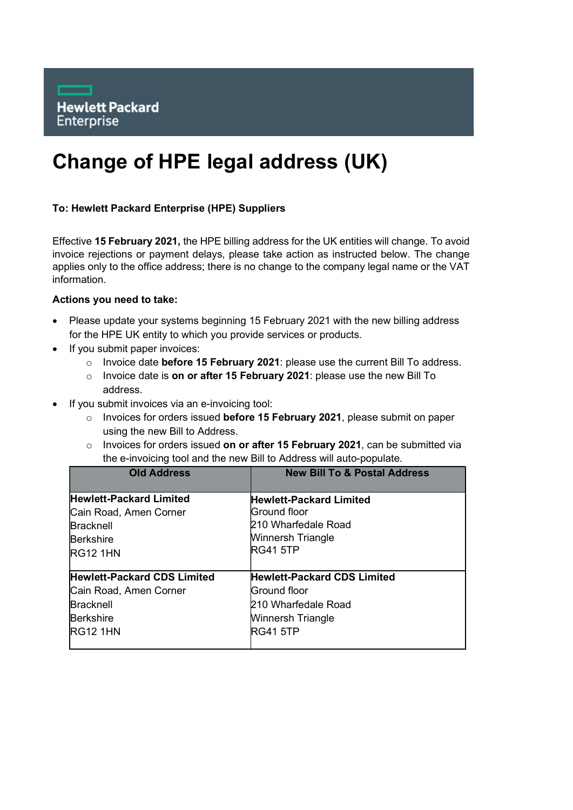

## Change of HPE legal address (UK)

## To: Hewlett Packard Enterprise (HPE) Suppliers

Effective 15 February 2021, the HPE billing address for the UK entities will change. To avoid invoice rejections or payment delays, please take action as instructed below. The change applies only to the office address; there is no change to the company legal name or the VAT information.

## Actions you need to take:

- Please update your systems beginning 15 February 2021 with the new billing address for the HPE UK entity to which you provide services or products.
- If you submit paper invoices:
	- o Invoice date before 15 February 2021: please use the current Bill To address.
	- o Invoice date is on or after 15 February 2021: please use the new Bill To address.
- If you submit invoices via an e-invoicing tool:
	- $\circ$  Invoices for orders issued **before 15 February 2021**, please submit on paper using the new Bill to Address.
	- $\circ$  Invoices for orders issued on or after 15 February 2021, can be submitted via the e-invoicing tool and the new Bill to Address will auto-populate.

| <b>Old Address</b>                 | <b>New Bill To &amp; Postal Address</b> |
|------------------------------------|-----------------------------------------|
| <b>Hewlett-Packard Limited</b>     | <b>Hewlett-Packard Limited</b>          |
| Cain Road, Amen Corner             | Ground floor                            |
| <b>Bracknell</b>                   | l210 Wharfedale Road                    |
| <b>Berkshire</b>                   | Winnersh Triangle                       |
| <b>RG12 1HN</b>                    | <b>RG41 5TP</b>                         |
| <b>Hewlett-Packard CDS Limited</b> | <b>Hewlett-Packard CDS Limited</b>      |
| Cain Road, Amen Corner             | Ground floor                            |
| <b>Bracknell</b>                   | 210 Wharfedale Road                     |
| <b>Berkshire</b>                   | Winnersh Triangle                       |
| <b>RG12 1HN</b>                    | <b>RG41 5TP</b>                         |